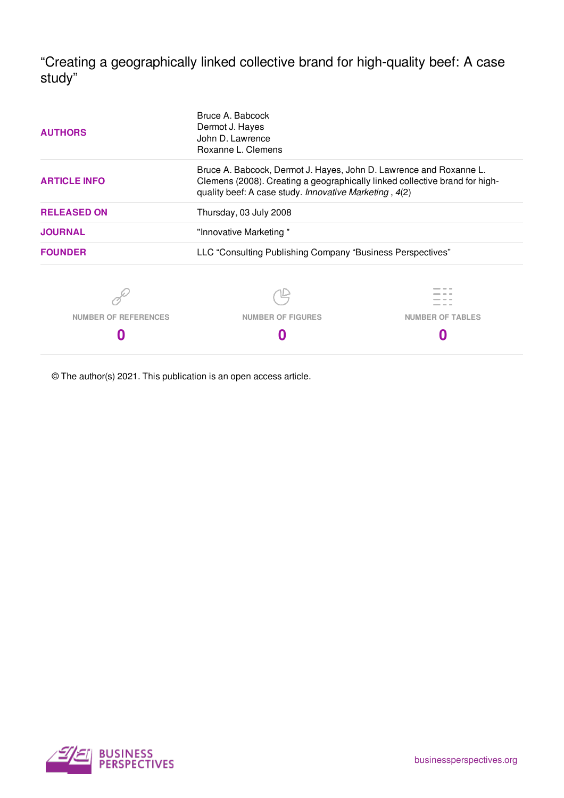"Creating a geographically linked collective brand for high-quality beef: A case study"

| <b>AUTHORS</b>              | Bruce A. Babcock<br>Dermot J. Hayes<br>John D. Lawrence<br>Roxanne L. Clemens                                                                                                                               |                         |  |  |  |
|-----------------------------|-------------------------------------------------------------------------------------------------------------------------------------------------------------------------------------------------------------|-------------------------|--|--|--|
| <b>ARTICLE INFO</b>         | Bruce A. Babcock, Dermot J. Hayes, John D. Lawrence and Roxanne L.<br>Clemens (2008). Creating a geographically linked collective brand for high-<br>quality beef: A case study. Innovative Marketing, 4(2) |                         |  |  |  |
| <b>RELEASED ON</b>          | Thursday, 03 July 2008                                                                                                                                                                                      |                         |  |  |  |
| <b>JOURNAL</b>              | "Innovative Marketing"                                                                                                                                                                                      |                         |  |  |  |
| <b>FOUNDER</b>              | LLC "Consulting Publishing Company "Business Perspectives"                                                                                                                                                  |                         |  |  |  |
|                             |                                                                                                                                                                                                             |                         |  |  |  |
| <b>NUMBER OF REFERENCES</b> | <b>NUMBER OF FIGURES</b>                                                                                                                                                                                    | <b>NUMBER OF TABLES</b> |  |  |  |
|                             |                                                                                                                                                                                                             |                         |  |  |  |

© The author(s) 2021. This publication is an open access article.

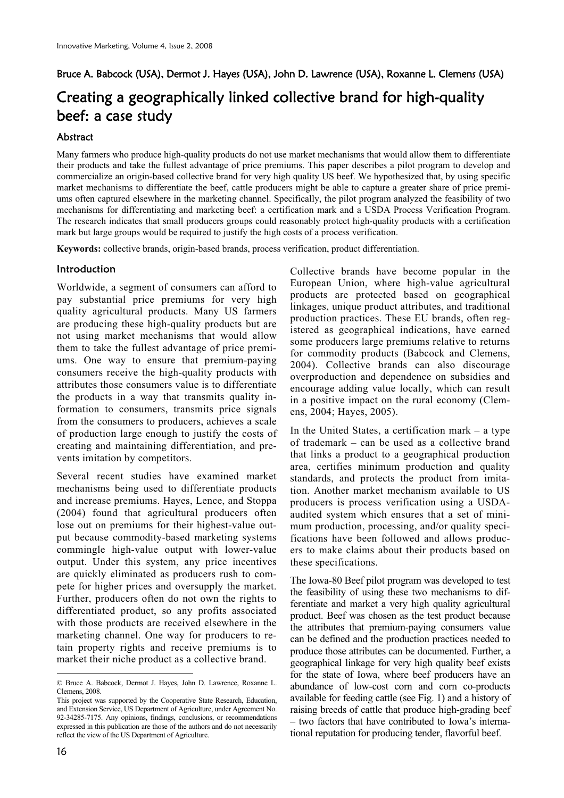Bruce A. Babcock (USA), Dermot J. Hayes (USA), John D. Lawrence (USA), Roxanne L. Clemens (USA)

# Creating a geographically linked collective brand for high-quality beef: a case study

### Abstract

Many farmers who produce high-quality products do not use market mechanisms that would allow them to differentiate their products and take the fullest advantage of price premiums. This paper describes a pilot program to develop and commercialize an origin-based collective brand for very high quality US beef. We hypothesized that, by using specific market mechanisms to differentiate the beef, cattle producers might be able to capture a greater share of price premiums often captured elsewhere in the marketing channel. Specifically, the pilot program analyzed the feasibility of two mechanisms for differentiating and marketing beef: a certification mark and a USDA Process Verification Program. The research indicates that small producers groups could reasonably protect high-quality products with a certification mark but large groups would be required to justify the high costs of a process verification.

**Keywords:** collective brands, origin-based brands, process verification, product differentiation.

### Introduction **2**

Worldwide, a segment of consumers can afford to pay substantial price premiums for very high quality agricultural products. Many US farmers are producing these high-quality products but are not using market mechanisms that would allow them to take the fullest advantage of price premiums. One way to ensure that premium-paying consumers receive the high-quality products with attributes those consumers value is to differentiate the products in a way that transmits quality information to consumers, transmits price signals from the consumers to producers, achieves a scale of production large enough to justify the costs of creating and maintaining differentiation, and prevents imitation by competitors.

Several recent studies have examined market mechanisms being used to differentiate products and increase premiums. Hayes, Lence, and Stoppa (2004) found that agricultural producers often lose out on premiums for their highest-value output because commodity-based marketing systems commingle high-value output with lower-value output. Under this system, any price incentives are quickly eliminated as producers rush to compete for higher prices and oversupply the market. Further, producers often do not own the rights to differentiated product, so any profits associated with those products are received elsewhere in the marketing channel. One way for producers to retain property rights and receive premiums is to market their niche product as a collective brand.

16

-

Collective brands have become popular in the European Union, where high-value agricultural products are protected based on geographical linkages, unique product attributes, and traditional production practices. These EU brands, often registered as geographical indications, have earned some producers large premiums relative to returns for commodity products (Babcock and Clemens, 2004). Collective brands can also discourage overproduction and dependence on subsidies and encourage adding value locally, which can result in a positive impact on the rural economy (Clemens, 2004; Hayes, 2005).

In the United States, a certification mark  $-$  a type of trademark – can be used as a collective brand that links a product to a geographical production area, certifies minimum production and quality standards, and protects the product from imitation. Another market mechanism available to US producers is process verification using a USDAaudited system which ensures that a set of minimum production, processing, and/or quality specifications have been followed and allows producers to make claims about their products based on these specifications.

The Iowa-80 Beef pilot program was developed to test the feasibility of using these two mechanisms to differentiate and market a very high quality agricultural product. Beef was chosen as the test product because the attributes that premium-paying consumers value can be defined and the production practices needed to produce those attributes can be documented. Further, a geographical linkage for very high quality beef exists for the state of Iowa, where beef producers have an abundance of low-cost corn and corn co-products available for feeding cattle (see Fig. 1) and a history of raising breeds of cattle that produce high-grading beef – two factors that have contributed to Iowa's international reputation for producing tender, flavorful beef.

<sup>©</sup> Bruce A. Babcock, Dermot J. Hayes, John D. Lawrence, Roxanne L. Clemens, 2008.

This project was supported by the Cooperative State Research, Education, and Extension Service, US Department of Agriculture, under Agreement No. 92-34285-7175. Any opinions, findings, conclusions, or recommendations expressed in this publication are those of the authors and do not necessarily reflect the view of the US Department of Agriculture.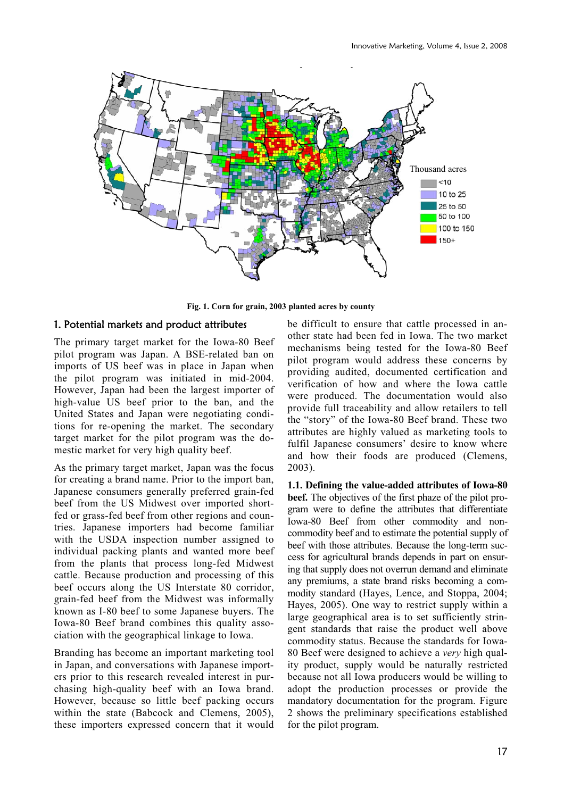

**Fig. 1. Corn for grain, 2003 planted acres by county** 

### 1. Potential markets and product attributes

The primary target market for the Iowa-80 Beef pilot program was Japan. A BSE-related ban on imports of US beef was in place in Japan when the pilot program was initiated in mid-2004. However, Japan had been the largest importer of high-value US beef prior to the ban, and the United States and Japan were negotiating conditions for re-opening the market. The secondary target market for the pilot program was the domestic market for very high quality beef.

As the primary target market, Japan was the focus for creating a brand name. Prior to the import ban, Japanese consumers generally preferred grain-fed beef from the US Midwest over imported shortfed or grass-fed beef from other regions and countries. Japanese importers had become familiar with the USDA inspection number assigned to individual packing plants and wanted more beef from the plants that process long-fed Midwest cattle. Because production and processing of this beef occurs along the US Interstate 80 corridor, grain-fed beef from the Midwest was informally known as I-80 beef to some Japanese buyers. The Iowa-80 Beef brand combines this quality association with the geographical linkage to Iowa.

Branding has become an important marketing tool in Japan, and conversations with Japanese importers prior to this research revealed interest in purchasing high-quality beef with an Iowa brand. However, because so little beef packing occurs within the state (Babcock and Clemens, 2005), these importers expressed concern that it would be difficult to ensure that cattle processed in another state had been fed in Iowa. The two market mechanisms being tested for the Iowa-80 Beef pilot program would address these concerns by providing audited, documented certification and verification of how and where the Iowa cattle were produced. The documentation would also provide full traceability and allow retailers to tell the "story" of the Iowa-80 Beef brand. These two attributes are highly valued as marketing tools to fulfil Japanese consumers' desire to know where and how their foods are produced (Clemens, 2003).

**1.1. Defining the value-added attributes of Iowa-80 beef.** The objectives of the first phaze of the pilot program were to define the attributes that differentiate Iowa-80 Beef from other commodity and noncommodity beef and to estimate the potential supply of beef with those attributes. Because the long-term success for agricultural brands depends in part on ensuring that supply does not overrun demand and eliminate any premiums, a state brand risks becoming a commodity standard (Hayes, Lence, and Stoppa, 2004; Hayes, 2005). One way to restrict supply within a large geographical area is to set sufficiently stringent standards that raise the product well above commodity status. Because the standards for Iowa-80 Beef were designed to achieve a *very* high quality product, supply would be naturally restricted because not all Iowa producers would be willing to adopt the production processes or provide the mandatory documentation for the program. Figure 2 shows the preliminary specifications established for the pilot program.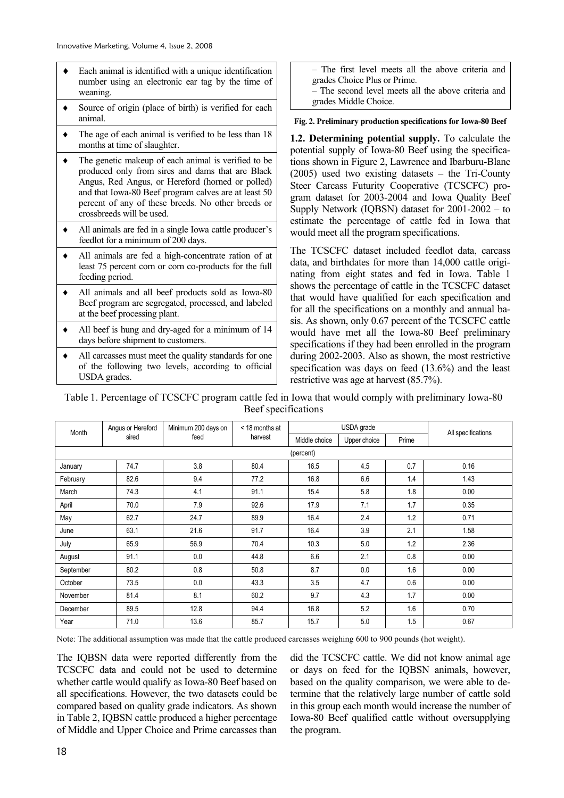- Each animal is identified with a unique identification number using an electronic ear tag by the time of weaning.
- $\bullet$  Source of origin (place of birth) is verified for each animal.
- $\bullet$  The age of each animal is verified to be less than 18 months at time of slaughter.
- $\bullet$  The genetic makeup of each animal is verified to be produced only from sires and dams that are Black Angus, Red Angus, or Hereford (horned or polled) and that Iowa-80 Beef program calves are at least 50 percent of any of these breeds. No other breeds or crossbreeds will be used.
- $\bullet$  All animals are fed in a single Iowa cattle producer's feedlot for a minimum of 200 days.
- $\bullet$  All animals are fed a high-concentrate ration of at least 75 percent corn or corn co-products for the full feeding period.
- $\bullet$  All animals and all beef products sold as Iowa-80 Beef program are segregated, processed, and labeled at the beef processing plant.
- All beef is hung and dry-aged for a minimum of 14 days before shipment to customers.
- All carcasses must meet the quality standards for one of the following two levels, according to official USDA grades.

– The first level meets all the above criteria and grades Choice Plus or Prime.

– The second level meets all the above criteria and grades Middle Choice.

**Fig. 2. Preliminary production specifications for Iowa-80 Beef**

**1.2. Determining potential supply.** To calculate the potential supply of Iowa-80 Beef using the specifications shown in Figure 2, Lawrence and Ibarburu-Blanc (2005) used two existing datasets – the Tri-County Steer Carcass Futurity Cooperative (TCSCFC) program dataset for 2003-2004 and Iowa Quality Beef Supply Network (IQBSN) dataset for 2001-2002 – to estimate the percentage of cattle fed in Iowa that would meet all the program specifications.

The TCSCFC dataset included feedlot data, carcass data, and birthdates for more than 14,000 cattle originating from eight states and fed in Iowa. Table 1 shows the percentage of cattle in the TCSCFC dataset that would have qualified for each specification and for all the specifications on a monthly and annual basis. As shown, only 0.67 percent of the TCSCFC cattle would have met all the Iowa-80 Beef preliminary specifications if they had been enrolled in the program during 2002-2003. Also as shown, the most restrictive specification was days on feed (13.6%) and the least restrictive was age at harvest (85.7%).

Table 1. Percentage of TCSCFC program cattle fed in Iowa that would comply with preliminary Iowa-80 Beef specifications

| Month     | Angus or Hereford | Minimum 200 days on<br>feed | < 18 months at<br>harvest | USDA grade    |              |       | All specifications |
|-----------|-------------------|-----------------------------|---------------------------|---------------|--------------|-------|--------------------|
|           | sired             |                             |                           | Middle choice | Upper choice | Prime |                    |
| (percent) |                   |                             |                           |               |              |       |                    |
| January   | 74.7              | 3.8                         | 80.4                      | 16.5          | 4.5          | 0.7   | 0.16               |
| February  | 82.6              | 9.4                         | 77.2                      | 16.8          | 6.6          | 1.4   | 1.43               |
| March     | 74.3              | 4.1                         | 91.1                      | 15.4          | 5.8          | 1.8   | 0.00               |
| April     | 70.0              | 7.9                         | 92.6                      | 17.9          | 7.1          | 1.7   | 0.35               |
| May       | 62.7              | 24.7                        | 89.9                      | 16.4          | 2.4          | 1.2   | 0.71               |
| June      | 63.1              | 21.6                        | 91.7                      | 16.4          | 3.9          | 2.1   | 1.58               |
| July      | 65.9              | 56.9                        | 70.4                      | 10.3          | 5.0          | 1.2   | 2.36               |
| August    | 91.1              | 0.0                         | 44.8                      | 6.6           | 2.1          | 0.8   | 0.00               |
| September | 80.2              | 0.8                         | 50.8                      | 8.7           | 0.0          | 1.6   | 0.00               |
| October   | 73.5              | 0.0                         | 43.3                      | 3.5           | 4.7          | 0.6   | 0.00               |
| November  | 81.4              | 8.1                         | 60.2                      | 9.7           | 4.3          | 1.7   | 0.00               |
| December  | 89.5              | 12.8                        | 94.4                      | 16.8          | 5.2          | 1.6   | 0.70               |
| Year      | 71.0              | 13.6                        | 85.7                      | 15.7          | 5.0          | 1.5   | 0.67               |

Note: The additional assumption was made that the cattle produced carcasses weighing 600 to 900 pounds (hot weight).

The IQBSN data were reported differently from the TCSCFC data and could not be used to determine whether cattle would qualify as Iowa-80 Beef based on all specifications. However, the two datasets could be compared based on quality grade indicators. As shown in Table 2, IQBSN cattle produced a higher percentage of Middle and Upper Choice and Prime carcasses than did the TCSCFC cattle. We did not know animal age or days on feed for the IQBSN animals, however, based on the quality comparison, we were able to determine that the relatively large number of cattle sold in this group each month would increase the number of Iowa-80 Beef qualified cattle without oversupplying the program.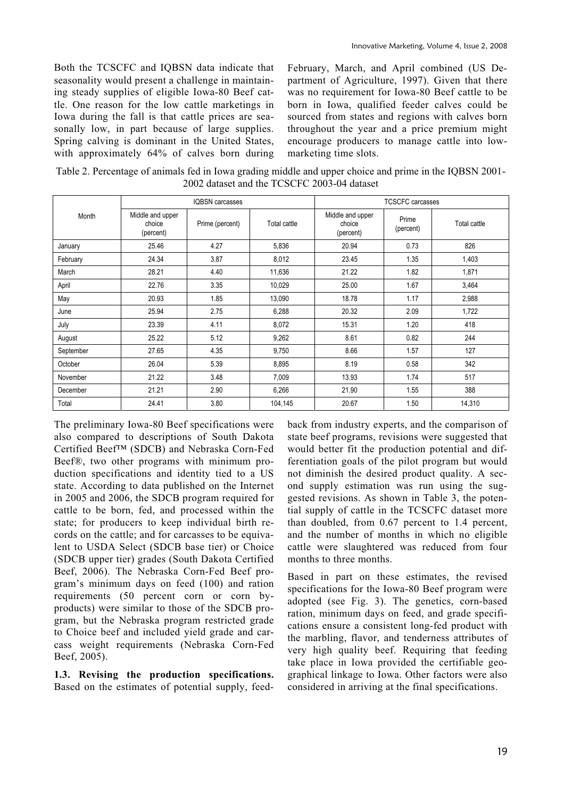Both the TCSCFC and IQBSN data indicate that seasonality would present a challenge in maintaining steady supplies of eligible Iowa-80 Beef cattle. One reason for the low cattle marketings in Iowa during the fall is that cattle prices are seasonally low, in part because of large supplies. Spring calving is dominant in the United States, with approximately 64% of calves born during

February, March, and April combined (US Department of Agriculture, 1997). Given that there was no requirement for Iowa-80 Beef cattle to be born in Iowa, qualified feeder calves could be sourced from states and regions with calves born throughout the year and a price premium might encourage producers to manage cattle into lowmarketing time slots.

Table 2. Percentage of animals fed in Iowa grading middle and upper choice and prime in the IQBSN 2001- 2002 dataset and the TCSCFC 2003-04 dataset

|           | IQBSN carcasses                         |                 |              | <b>TCSCFC</b> carcasses                 |                    |              |  |
|-----------|-----------------------------------------|-----------------|--------------|-----------------------------------------|--------------------|--------------|--|
| Month     | Middle and upper<br>choice<br>(percent) | Prime (percent) | Total cattle | Middle and upper<br>choice<br>(percent) | Prime<br>(percent) | Total cattle |  |
| January   | 25.46                                   | 4.27            | 5,836        | 20.94                                   | 0.73               | 826          |  |
| February  | 24.34                                   | 3.87            | 8,012        | 23.45                                   | 1.35               | 1,403        |  |
| March     | 28.21                                   | 4.40            | 11,636       | 21.22                                   | 1.82               | 1,871        |  |
| April     | 22.76                                   | 3.35            | 10,029       | 25.00                                   | 1.67               | 3,464        |  |
| May       | 20.93                                   | 1.85            | 13,090       | 18.78                                   | 1.17               | 2,988        |  |
| June      | 25.94                                   | 2.75            | 6,288        | 20.32                                   | 2.09               | 1,722        |  |
| July      | 23.39                                   | 4.11            | 8,072        | 15.31                                   | 1.20               | 418          |  |
| August    | 25.22                                   | 5.12            | 9,262        | 8.61                                    | 0.82               | 244          |  |
| September | 27.65                                   | 4.35            | 9,750        | 8.66                                    | 1.57               | 127          |  |
| October   | 26.04                                   | 5.39            | 8,895        | 8.19                                    | 0.58               | 342          |  |
| November  | 21.22                                   | 3.48            | 7,009        | 13.93                                   | 1.74               | 517          |  |
| December  | 21.21                                   | 2.90            | 6,266        | 21.90                                   | 1.55               | 388          |  |
| Total     | 24.41                                   | 3.80            | 104,145      | 20.67                                   | 1.50               | 14,310       |  |

The preliminary Iowa-80 Beef specifications were also compared to descriptions of South Dakota Certified Beef™ (SDCB) and Nebraska Corn-Fed Beef®, two other programs with minimum production specifications and identity tied to a US state. According to data published on the Internet in 2005 and 2006, the SDCB program required for cattle to be born, fed, and processed within the state; for producers to keep individual birth records on the cattle; and for carcasses to be equivalent to USDA Select (SDCB base tier) or Choice (SDCB upper tier) grades (South Dakota Certified Beef, 2006). The Nebraska Corn-Fed Beef program's minimum days on feed (100) and ration requirements (50 percent corn or corn byproducts) were similar to those of the SDCB program, but the Nebraska program restricted grade to Choice beef and included yield grade and carcass weight requirements (Nebraska Corn-Fed Beef, 2005).

**1.3. Revising the production specifications.** Based on the estimates of potential supply, feedback from industry experts, and the comparison of state beef programs, revisions were suggested that would better fit the production potential and differentiation goals of the pilot program but would not diminish the desired product quality. A second supply estimation was run using the suggested revisions. As shown in Table 3, the potential supply of cattle in the TCSCFC dataset more than doubled, from 0.67 percent to 1.4 percent, and the number of months in which no eligible cattle were slaughtered was reduced from four months to three months.

Based in part on these estimates, the revised specifications for the Iowa-80 Beef program were adopted (see Fig. 3). The genetics, corn-based ration, minimum days on feed, and grade specifications ensure a consistent long-fed product with the marbling, flavor, and tenderness attributes of very high quality beef. Requiring that feeding take place in Iowa provided the certifiable geographical linkage to Iowa. Other factors were also considered in arriving at the final specifications.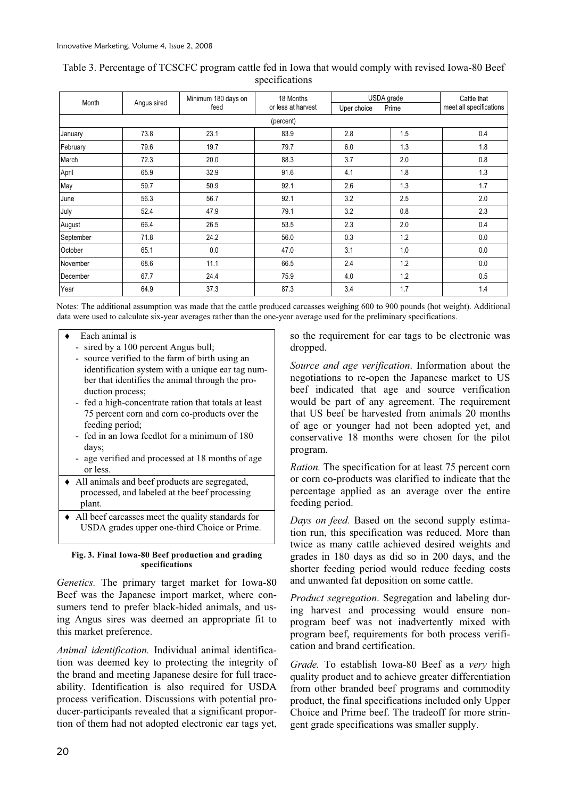| Month     | Angus sired | Minimum 180 days on<br>feed | 18 Months<br>or less at harvest | USDA grade  |       | Cattle that             |
|-----------|-------------|-----------------------------|---------------------------------|-------------|-------|-------------------------|
|           |             |                             |                                 | Uper choice | Prime | meet all specifications |
|           | (percent)   |                             |                                 |             |       |                         |
| January   | 73.8        | 23.1                        | 83.9                            | 2.8         | 1.5   | 0.4                     |
| February  | 79.6        | 19.7                        | 79.7                            | 6.0         | 1.3   | 1.8                     |
| March     | 72.3        | 20.0                        | 88.3                            | 3.7         | 2.0   | 0.8                     |
| April     | 65.9        | 32.9                        | 91.6                            | 4.1         | 1.8   | 1.3                     |
| May       | 59.7        | 50.9                        | 92.1                            | 2.6         | 1.3   | 1.7                     |
| June      | 56.3        | 56.7                        | 92.1                            | 3.2         | 2.5   | 2.0                     |
| July      | 52.4        | 47.9                        | 79.1                            | 3.2         | 0.8   | 2.3                     |
| August    | 66.4        | 26.5                        | 53.5                            | 2.3         | 2.0   | 0.4                     |
| September | 71.8        | 24.2                        | 56.0                            | 0.3         | 1.2   | 0.0                     |
| October   | 65.1        | 0.0                         | 47.0                            | 3.1         | 1.0   | 0.0                     |
| November  | 68.6        | 11.1                        | 66.5                            | 2.4         | 1.2   | 0.0                     |
| December  | 67.7        | 24.4                        | 75.9                            | 4.0         | 1.2   | 0.5                     |
| Year      | 64.9        | 37.3                        | 87.3                            | 3.4         | 1.7   | 1.4                     |

## Table 3. Percentage of TCSCFC program cattle fed in Iowa that would comply with revised Iowa-80 Beef specifications

Notes: The additional assumption was made that the cattle produced carcasses weighing 600 to 900 pounds (hot weight). Additional data were used to calculate six-year averages rather than the one-year average used for the preliminary specifications.

- Each animal is
	- sired by a 100 percent Angus bull;
	- source verified to the farm of birth using an identification system with a unique ear tag number that identifies the animal through the production process;
	- fed a high-concentrate ration that totals at least 75 percent corn and corn co-products over the feeding period;
	- fed in an Iowa feedlot for a minimum of 180 days;
	- age verified and processed at 18 months of age or less.
- $\triangleleft$  All animals and beef products are segregated, processed, and labeled at the beef processing plant.
- $\triangle$  All beef carcasses meet the quality standards for USDA grades upper one-third Choice or Prime.

#### **Fig. 3. Final Iowa-80 Beef production and grading specifications**

*Genetics.* The primary target market for Iowa-80 Beef was the Japanese import market, where consumers tend to prefer black-hided animals, and using Angus sires was deemed an appropriate fit to this market preference.

*Animal identification.* Individual animal identification was deemed key to protecting the integrity of the brand and meeting Japanese desire for full traceability. Identification is also required for USDA process verification. Discussions with potential producer-participants revealed that a significant proportion of them had not adopted electronic ear tags yet,

so the requirement for ear tags to be electronic was dropped.

*Source and age verification*. Information about the negotiations to re-open the Japanese market to US beef indicated that age and source verification would be part of any agreement. The requirement that US beef be harvested from animals 20 months of age or younger had not been adopted yet, and conservative 18 months were chosen for the pilot program.

*Ration.* The specification for at least 75 percent corn or corn co-products was clarified to indicate that the percentage applied as an average over the entire feeding period.

*Days on feed.* Based on the second supply estimation run, this specification was reduced. More than twice as many cattle achieved desired weights and grades in 180 days as did so in 200 days, and the shorter feeding period would reduce feeding costs and unwanted fat deposition on some cattle.

*Product segregation*. Segregation and labeling during harvest and processing would ensure nonprogram beef was not inadvertently mixed with program beef, requirements for both process verification and brand certification.

*Grade.* To establish Iowa-80 Beef as a *very* high quality product and to achieve greater differentiation from other branded beef programs and commodity product, the final specifications included only Upper Choice and Prime beef. The tradeoff for more stringent grade specifications was smaller supply.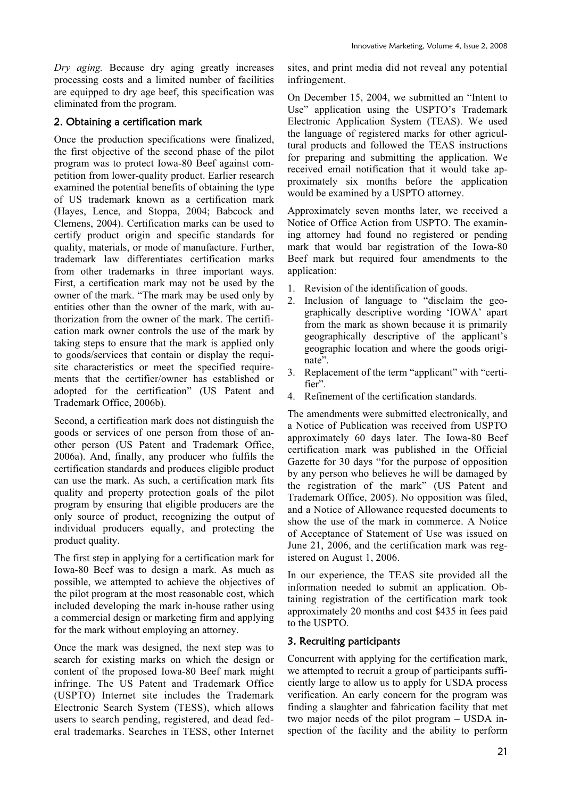*Dry aging.* Because dry aging greatly increases processing costs and a limited number of facilities are equipped to dry age beef, this specification was eliminated from the program.

# 2. Obtaining a certification mark

Once the production specifications were finalized, the first objective of the second phase of the pilot program was to protect Iowa-80 Beef against competition from lower-quality product. Earlier research examined the potential benefits of obtaining the type of US trademark known as a certification mark (Hayes, Lence, and Stoppa, 2004; Babcock and Clemens, 2004). Certification marks can be used to certify product origin and specific standards for quality, materials, or mode of manufacture. Further, trademark law differentiates certification marks from other trademarks in three important ways. First, a certification mark may not be used by the owner of the mark. "The mark may be used only by entities other than the owner of the mark, with authorization from the owner of the mark. The certification mark owner controls the use of the mark by taking steps to ensure that the mark is applied only to goods/services that contain or display the requisite characteristics or meet the specified requirements that the certifier/owner has established or adopted for the certification" (US Patent and Trademark Office, 2006b).

Second, a certification mark does not distinguish the goods or services of one person from those of another person (US Patent and Trademark Office, 2006a). And, finally, any producer who fulfils the certification standards and produces eligible product can use the mark. As such, a certification mark fits quality and property protection goals of the pilot program by ensuring that eligible producers are the only source of product, recognizing the output of individual producers equally, and protecting the product quality.

The first step in applying for a certification mark for Iowa-80 Beef was to design a mark. As much as possible, we attempted to achieve the objectives of the pilot program at the most reasonable cost, which included developing the mark in-house rather using a commercial design or marketing firm and applying for the mark without employing an attorney.

Once the mark was designed, the next step was to search for existing marks on which the design or content of the proposed Iowa-80 Beef mark might infringe. The US Patent and Trademark Office (USPTO) Internet site includes the Trademark Electronic Search System (TESS), which allows users to search pending, registered, and dead federal trademarks. Searches in TESS, other Internet sites, and print media did not reveal any potential infringement.

On December 15, 2004, we submitted an "Intent to Use" application using the USPTO's Trademark Electronic Application System (TEAS). We used the language of registered marks for other agricultural products and followed the TEAS instructions for preparing and submitting the application. We received email notification that it would take approximately six months before the application would be examined by a USPTO attorney.

Approximately seven months later, we received a Notice of Office Action from USPTO. The examining attorney had found no registered or pending mark that would bar registration of the Iowa-80 Beef mark but required four amendments to the application:

- 1. Revision of the identification of goods.
- 2. Inclusion of language to "disclaim the geographically descriptive wording 'IOWA' apart from the mark as shown because it is primarily geographically descriptive of the applicant's geographic location and where the goods originate".
- 3. Replacement of the term "applicant" with "certifier".
- 4. Refinement of the certification standards.

The amendments were submitted electronically, and a Notice of Publication was received from USPTO approximately 60 days later. The Iowa-80 Beef certification mark was published in the Official Gazette for 30 days "for the purpose of opposition by any person who believes he will be damaged by the registration of the mark" (US Patent and Trademark Office, 2005). No opposition was filed, and a Notice of Allowance requested documents to show the use of the mark in commerce. A Notice of Acceptance of Statement of Use was issued on June 21, 2006, and the certification mark was registered on August 1, 2006.

In our experience, the TEAS site provided all the information needed to submit an application. Obtaining registration of the certification mark took approximately 20 months and cost \$435 in fees paid to the USPTO.

# 3. Recruiting participants

Concurrent with applying for the certification mark, we attempted to recruit a group of participants sufficiently large to allow us to apply for USDA process verification. An early concern for the program was finding a slaughter and fabrication facility that met two major needs of the pilot program – USDA inspection of the facility and the ability to perform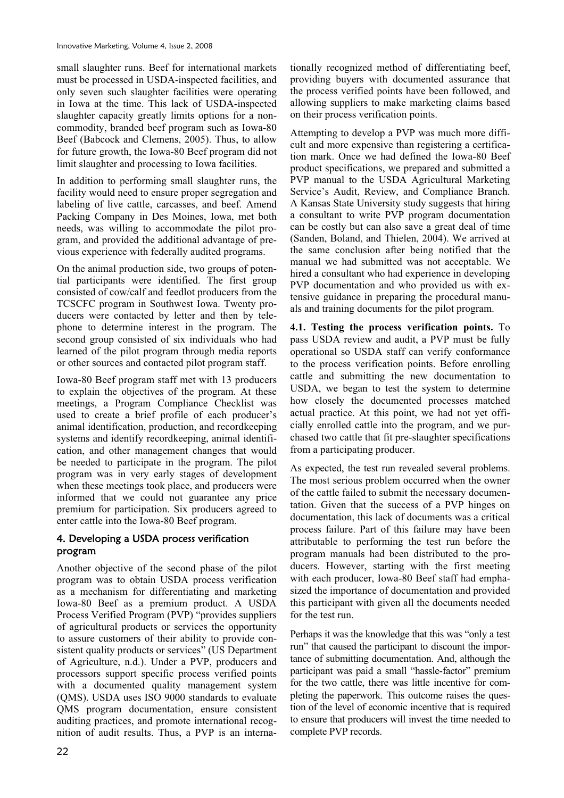small slaughter runs. Beef for international markets must be processed in USDA-inspected facilities, and only seven such slaughter facilities were operating in Iowa at the time. This lack of USDA-inspected slaughter capacity greatly limits options for a noncommodity, branded beef program such as Iowa-80 Beef (Babcock and Clemens, 2005). Thus, to allow for future growth, the Iowa-80 Beef program did not limit slaughter and processing to Iowa facilities.

In addition to performing small slaughter runs, the facility would need to ensure proper segregation and labeling of live cattle, carcasses, and beef. Amend Packing Company in Des Moines, Iowa, met both needs, was willing to accommodate the pilot program, and provided the additional advantage of previous experience with federally audited programs.

On the animal production side, two groups of potential participants were identified. The first group consisted of cow/calf and feedlot producers from the TCSCFC program in Southwest Iowa. Twenty producers were contacted by letter and then by telephone to determine interest in the program. The second group consisted of six individuals who had learned of the pilot program through media reports or other sources and contacted pilot program staff.

Iowa-80 Beef program staff met with 13 producers to explain the objectives of the program. At these meetings, a Program Compliance Checklist was used to create a brief profile of each producer's animal identification, production, and recordkeeping systems and identify recordkeeping, animal identification, and other management changes that would be needed to participate in the program. The pilot program was in very early stages of development when these meetings took place, and producers were informed that we could not guarantee any price premium for participation. Six producers agreed to enter cattle into the Iowa-80 Beef program.

## 4. Developing a USDA process verification program

Another objective of the second phase of the pilot program was to obtain USDA process verification as a mechanism for differentiating and marketing Iowa-80 Beef as a premium product. A USDA Process Verified Program (PVP) "provides suppliers of agricultural products or services the opportunity to assure customers of their ability to provide consistent quality products or services" (US Department of Agriculture, n.d.). Under a PVP, producers and processors support specific process verified points with a documented quality management system (QMS). USDA uses ISO 9000 standards to evaluate QMS program documentation, ensure consistent auditing practices, and promote international recognition of audit results. Thus, a PVP is an internationally recognized method of differentiating beef, providing buyers with documented assurance that the process verified points have been followed, and allowing suppliers to make marketing claims based on their process verification points.

Attempting to develop a PVP was much more difficult and more expensive than registering a certification mark. Once we had defined the Iowa-80 Beef product specifications, we prepared and submitted a PVP manual to the USDA Agricultural Marketing Service's Audit, Review, and Compliance Branch. A Kansas State University study suggests that hiring a consultant to write PVP program documentation can be costly but can also save a great deal of time (Sanden, Boland, and Thielen, 2004). We arrived at the same conclusion after being notified that the manual we had submitted was not acceptable. We hired a consultant who had experience in developing PVP documentation and who provided us with extensive guidance in preparing the procedural manuals and training documents for the pilot program.

**4.1. Testing the process verification points.** To pass USDA review and audit, a PVP must be fully operational so USDA staff can verify conformance to the process verification points. Before enrolling cattle and submitting the new documentation to USDA, we began to test the system to determine how closely the documented processes matched actual practice. At this point, we had not yet officially enrolled cattle into the program, and we purchased two cattle that fit pre-slaughter specifications from a participating producer.

As expected, the test run revealed several problems. The most serious problem occurred when the owner of the cattle failed to submit the necessary documentation. Given that the success of a PVP hinges on documentation, this lack of documents was a critical process failure. Part of this failure may have been attributable to performing the test run before the program manuals had been distributed to the producers. However, starting with the first meeting with each producer, Iowa-80 Beef staff had emphasized the importance of documentation and provided this participant with given all the documents needed for the test run.

Perhaps it was the knowledge that this was "only a test run" that caused the participant to discount the importance of submitting documentation. And, although the participant was paid a small "hassle-factor" premium for the two cattle, there was little incentive for completing the paperwork. This outcome raises the question of the level of economic incentive that is required to ensure that producers will invest the time needed to complete PVP records.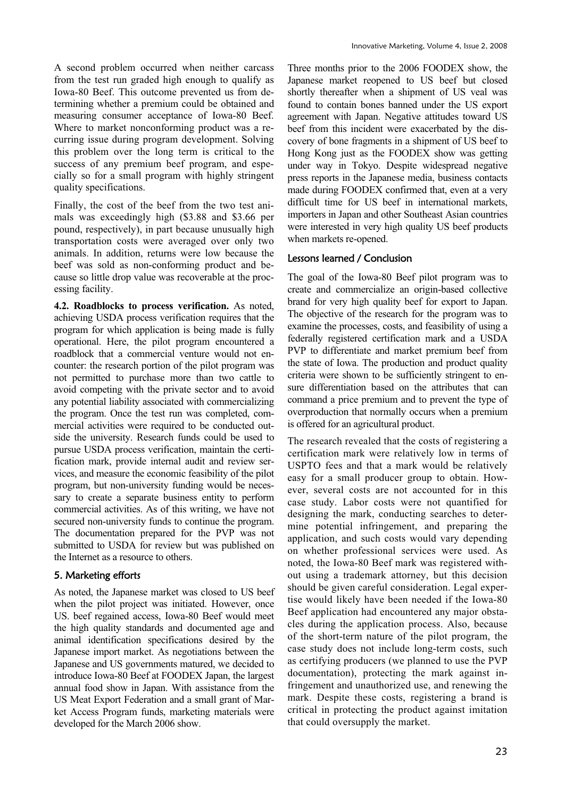A second problem occurred when neither carcass from the test run graded high enough to qualify as Iowa-80 Beef. This outcome prevented us from determining whether a premium could be obtained and measuring consumer acceptance of Iowa-80 Beef. Where to market nonconforming product was a recurring issue during program development. Solving this problem over the long term is critical to the success of any premium beef program, and especially so for a small program with highly stringent quality specifications.

Finally, the cost of the beef from the two test animals was exceedingly high (\$3.88 and \$3.66 per pound, respectively), in part because unusually high transportation costs were averaged over only two animals. In addition, returns were low because the beef was sold as non-conforming product and because so little drop value was recoverable at the processing facility.

**4.2. Roadblocks to process verification.** As noted, achieving USDA process verification requires that the program for which application is being made is fully operational. Here, the pilot program encountered a roadblock that a commercial venture would not encounter: the research portion of the pilot program was not permitted to purchase more than two cattle to avoid competing with the private sector and to avoid any potential liability associated with commercializing the program. Once the test run was completed, commercial activities were required to be conducted outside the university. Research funds could be used to pursue USDA process verification, maintain the certification mark, provide internal audit and review services, and measure the economic feasibility of the pilot program, but non-university funding would be necessary to create a separate business entity to perform commercial activities. As of this writing, we have not secured non-university funds to continue the program. The documentation prepared for the PVP was not submitted to USDA for review but was published on the Internet as a resource to others.

# 5. Marketing efforts

As noted, the Japanese market was closed to US beef when the pilot project was initiated. However, once US. beef regained access, Iowa-80 Beef would meet the high quality standards and documented age and animal identification specifications desired by the Japanese import market. As negotiations between the Japanese and US governments matured, we decided to introduce Iowa-80 Beef at FOODEX Japan, the largest annual food show in Japan. With assistance from the US Meat Export Federation and a small grant of Market Access Program funds, marketing materials were developed for the March 2006 show.

Three months prior to the 2006 FOODEX show, the Japanese market reopened to US beef but closed shortly thereafter when a shipment of US veal was found to contain bones banned under the US export agreement with Japan. Negative attitudes toward US beef from this incident were exacerbated by the discovery of bone fragments in a shipment of US beef to Hong Kong just as the FOODEX show was getting under way in Tokyo. Despite widespread negative press reports in the Japanese media, business contacts made during FOODEX confirmed that, even at a very difficult time for US beef in international markets, importers in Japan and other Southeast Asian countries were interested in very high quality US beef products when markets re-opened.

# Lessons learned / Conclusion

The goal of the Iowa-80 Beef pilot program was to create and commercialize an origin-based collective brand for very high quality beef for export to Japan. The objective of the research for the program was to examine the processes, costs, and feasibility of using a federally registered certification mark and a USDA PVP to differentiate and market premium beef from the state of Iowa. The production and product quality criteria were shown to be sufficiently stringent to ensure differentiation based on the attributes that can command a price premium and to prevent the type of overproduction that normally occurs when a premium is offered for an agricultural product.

The research revealed that the costs of registering a certification mark were relatively low in terms of USPTO fees and that a mark would be relatively easy for a small producer group to obtain. However, several costs are not accounted for in this case study. Labor costs were not quantified for designing the mark, conducting searches to determine potential infringement, and preparing the application, and such costs would vary depending on whether professional services were used. As noted, the Iowa-80 Beef mark was registered without using a trademark attorney, but this decision should be given careful consideration. Legal expertise would likely have been needed if the Iowa-80 Beef application had encountered any major obstacles during the application process. Also, because of the short-term nature of the pilot program, the case study does not include long-term costs, such as certifying producers (we planned to use the PVP documentation), protecting the mark against infringement and unauthorized use, and renewing the mark. Despite these costs, registering a brand is critical in protecting the product against imitation that could oversupply the market.